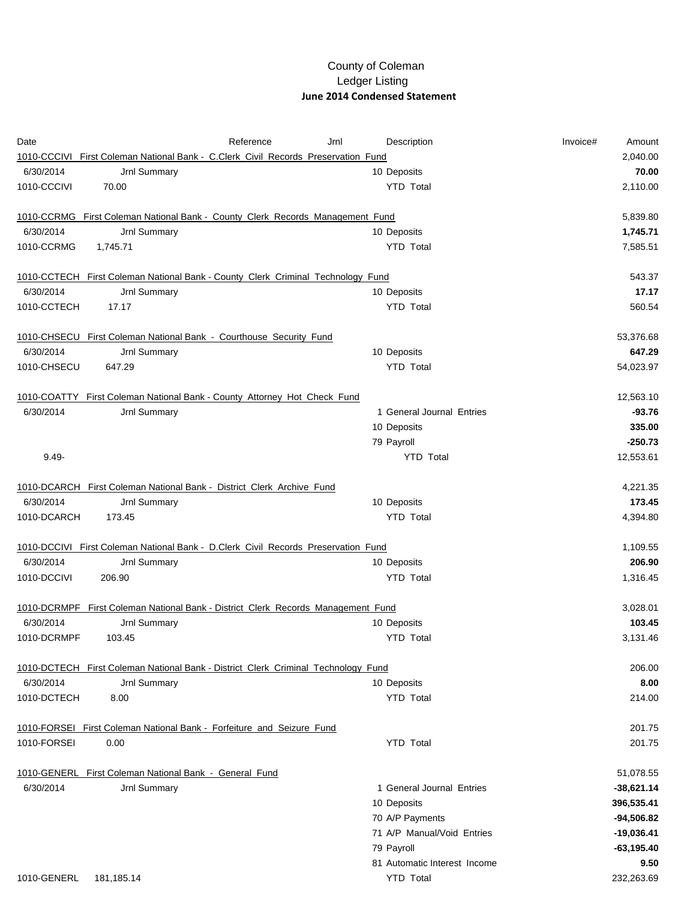## County of Coleman Ledger Listing  **June 2014 Condensed Statement**

| Date                    |                                                                                   | Reference | Jrnl | Description                  | Invoice# | Amount       |
|-------------------------|-----------------------------------------------------------------------------------|-----------|------|------------------------------|----------|--------------|
|                         | 1010-CCCIVI First Coleman National Bank - C.Clerk Civil Records Preservation Fund |           |      |                              |          | 2,040.00     |
| 6/30/2014               | Jrnl Summary                                                                      |           |      | 10 Deposits                  |          | 70.00        |
| 1010-CCCIVI             | 70.00                                                                             |           |      | <b>YTD Total</b>             |          | 2,110.00     |
|                         | 1010-CCRMG First Coleman National Bank - County Clerk Records Management Fund     |           |      |                              |          | 5,839.80     |
| 6/30/2014               | Jrnl Summary                                                                      |           |      | 10 Deposits                  |          | 1,745.71     |
| 1010-CCRMG              | 1,745.71                                                                          |           |      | <b>YTD Total</b>             |          | 7,585.51     |
|                         | 1010-CCTECH First Coleman National Bank - County Clerk Criminal Technology Fund   |           |      |                              |          | 543.37       |
| 6/30/2014               | Jrnl Summary                                                                      |           |      | 10 Deposits                  |          | 17.17        |
| 1010-CCTECH             | 17.17                                                                             |           |      | <b>YTD Total</b>             |          | 560.54       |
|                         | 1010-CHSECU First Coleman National Bank - Courthouse Security Fund                |           |      |                              |          | 53,376.68    |
| 6/30/2014               | Jrnl Summary                                                                      |           |      | 10 Deposits                  |          | 647.29       |
| 1010-CHSECU             | 647.29                                                                            |           |      | <b>YTD Total</b>             |          | 54,023.97    |
|                         | 1010-COATTY First Coleman National Bank - County Attorney Hot Check Fund          |           |      |                              |          | 12,563.10    |
| 6/30/2014               | Jrnl Summary                                                                      |           |      | 1 General Journal Entries    |          | $-93.76$     |
|                         |                                                                                   |           |      | 10 Deposits                  |          | 335.00       |
|                         |                                                                                   |           |      | 79 Payroll                   |          | $-250.73$    |
| $9.49 -$                |                                                                                   |           |      | <b>YTD Total</b>             |          | 12,553.61    |
|                         | 1010-DCARCH First Coleman National Bank - District Clerk Archive Fund             |           |      |                              |          | 4,221.35     |
| 6/30/2014               | Jrnl Summary                                                                      |           |      | 10 Deposits                  |          | 173.45       |
| 1010-DCARCH             | 173.45                                                                            |           |      | <b>YTD Total</b>             |          | 4,394.80     |
|                         | 1010-DCCIVI First Coleman National Bank - D.Clerk Civil Records Preservation Fund |           |      |                              |          | 1,109.55     |
| 6/30/2014               | Jrnl Summary                                                                      |           |      | 10 Deposits                  |          | 206.90       |
| 1010-DCCIVI             | 206.90                                                                            |           |      | <b>YTD Total</b>             |          | 1,316.45     |
|                         | 1010-DCRMPF First Coleman National Bank - District Clerk Records Management Fund  |           |      |                              |          | 3,028.01     |
| 6/30/2014               | Jrnl Summary                                                                      |           |      | 10 Deposits                  |          | 103.45       |
| 1010-DCRMPF             | 103.45                                                                            |           |      | <b>YTD Total</b>             |          | 3,131.46     |
|                         | 1010-DCTECH First Coleman National Bank - District Clerk Criminal Technology Fund |           |      |                              |          | 206.00       |
| 6/30/2014               | Jrnl Summary                                                                      |           |      | 10 Deposits                  |          | 8.00         |
| 1010-DCTECH             | 8.00                                                                              |           |      | <b>YTD Total</b>             |          | 214.00       |
|                         | 1010 FORSEI First Coleman National Bank - Forfeiture and Seizure Fund             |           |      |                              |          | 201.75       |
| 1010-FORSEI             | 0.00                                                                              |           |      | <b>YTD Total</b>             |          | 201.75       |
|                         | 1010-GENERL First Coleman National Bank - General Fund                            |           |      |                              |          | 51,078.55    |
| 6/30/2014               | Jrnl Summary                                                                      |           |      | 1 General Journal Entries    |          | $-38,621.14$ |
|                         |                                                                                   |           |      | 10 Deposits                  |          | 396,535.41   |
|                         |                                                                                   |           |      | 70 A/P Payments              |          | $-94,506.82$ |
|                         |                                                                                   |           |      | 71 A/P Manual/Void Entries   |          | $-19,036.41$ |
|                         |                                                                                   |           |      | 79 Payroll                   |          | $-63,195.40$ |
|                         |                                                                                   |           |      | 81 Automatic Interest Income |          | 9.50         |
| 1010-GENERL  181,185.14 |                                                                                   |           |      | <b>YTD Total</b>             |          | 232,263.69   |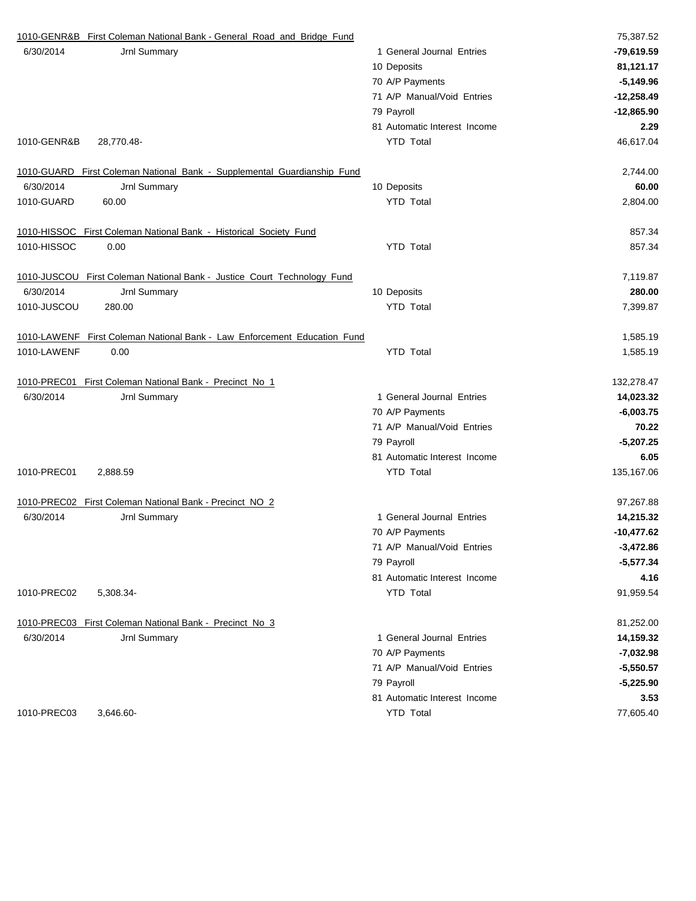|             | 1010-GENR&B First Coleman National Bank - General Road and Bridge Fund   |                              | 75,387.52    |
|-------------|--------------------------------------------------------------------------|------------------------------|--------------|
| 6/30/2014   | Jrnl Summary                                                             | 1 General Journal Entries    | -79,619.59   |
|             |                                                                          | 10 Deposits                  | 81,121.17    |
|             |                                                                          | 70 A/P Payments              | $-5,149.96$  |
|             |                                                                          | 71 A/P Manual/Void Entries   | $-12,258.49$ |
|             |                                                                          | 79 Payroll                   | $-12,865.90$ |
|             |                                                                          | 81 Automatic Interest Income | 2.29         |
| 1010-GENR&B | 28,770.48-                                                               | <b>YTD Total</b>             | 46,617.04    |
|             | 1010-GUARD First Coleman National Bank - Supplemental Guardianship Fund  |                              | 2,744.00     |
| 6/30/2014   | Jrnl Summary                                                             | 10 Deposits                  | 60.00        |
| 1010-GUARD  | 60.00                                                                    | <b>YTD</b> Total             | 2,804.00     |
|             | 1010 HISSOC First Coleman National Bank - Historical Society Fund        |                              | 857.34       |
| 1010-HISSOC | 0.00                                                                     | <b>YTD Total</b>             | 857.34       |
|             | 1010-JUSCOU First Coleman National Bank - Justice Court Technology Fund  |                              | 7,119.87     |
| 6/30/2014   | Jrnl Summary                                                             | 10 Deposits                  | 280.00       |
| 1010-JUSCOU | 280.00                                                                   | <b>YTD Total</b>             | 7,399.87     |
|             | 1010-LAWENF First Coleman National Bank - Law Enforcement Education Fund |                              | 1,585.19     |
| 1010-LAWENF | 0.00                                                                     | <b>YTD Total</b>             | 1,585.19     |
|             | 1010-PREC01 First Coleman National Bank - Precinct No 1                  |                              | 132,278.47   |
| 6/30/2014   | Jrnl Summary                                                             | 1 General Journal Entries    | 14,023.32    |
|             |                                                                          | 70 A/P Payments              | $-6,003.75$  |
|             |                                                                          | 71 A/P Manual/Void Entries   | 70.22        |
|             |                                                                          | 79 Payroll                   | $-5,207.25$  |
|             |                                                                          | 81 Automatic Interest Income | 6.05         |
| 1010-PREC01 | 2,888.59                                                                 | <b>YTD Total</b>             | 135,167.06   |
|             | 1010-PREC02 First Coleman National Bank - Precinct NO 2                  |                              | 97,267.88    |
| 6/30/2014   | Jrnl Summary                                                             | 1 General Journal Entries    | 14,215.32    |
|             |                                                                          | 70 A/P Payments              | $-10,477.62$ |
|             |                                                                          | 71 A/P Manual/Void Entries   | $-3,472.86$  |
|             |                                                                          | 79 Payroll                   | $-5,577.34$  |
|             |                                                                          | 81 Automatic Interest Income | 4.16         |
| 1010-PREC02 | 5,308.34                                                                 | <b>YTD Total</b>             | 91,959.54    |
|             | 1010-PREC03 First Coleman National Bank - Precinct No 3                  |                              | 81,252.00    |
| 6/30/2014   | Jrnl Summary                                                             | 1 General Journal Entries    | 14,159.32    |
|             |                                                                          | 70 A/P Payments              | $-7,032.98$  |
|             |                                                                          | 71 A/P Manual/Void Entries   | $-5,550.57$  |
|             |                                                                          | 79 Payroll                   | $-5,225.90$  |
|             |                                                                          | 81 Automatic Interest Income | 3.53         |
| 1010-PREC03 | 3,646.60                                                                 | <b>YTD Total</b>             | 77,605.40    |